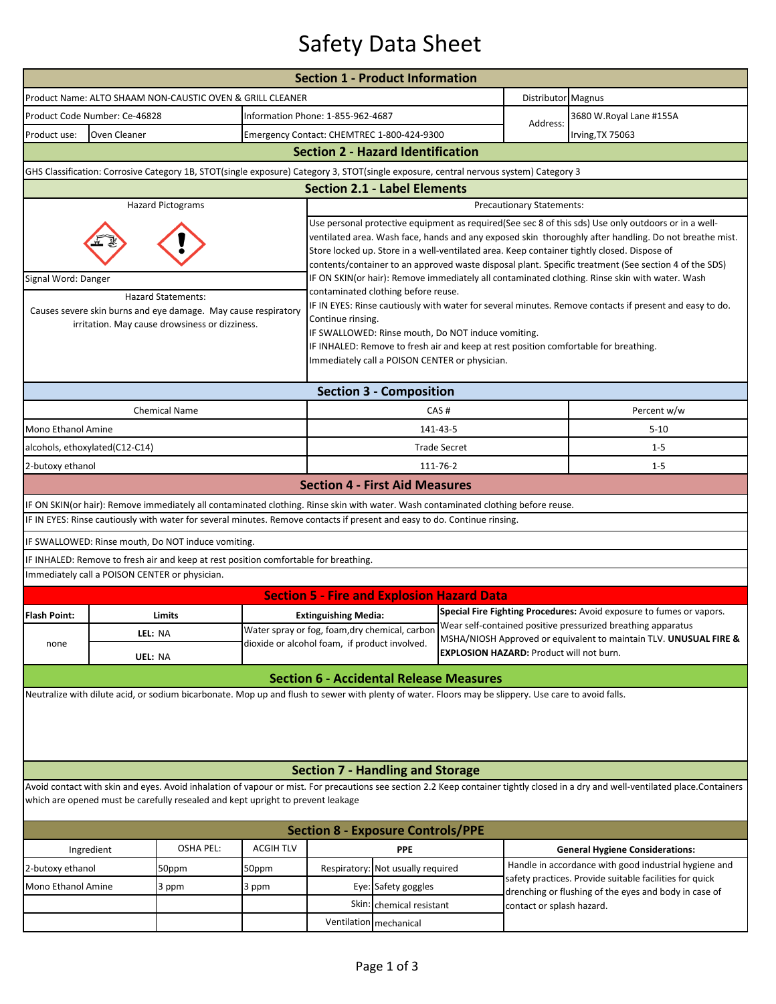## Safety Data Sheet

| <b>Section 1 - Product Information</b>                                                                                                                                                                                                                               |                                |                                                                                                                                    |                                            |                                                                                                                                                                                                                                                                                                                                                                                                                        |                                               |                     |                                                                                                                                   |                                                                      |  |  |  |
|----------------------------------------------------------------------------------------------------------------------------------------------------------------------------------------------------------------------------------------------------------------------|--------------------------------|------------------------------------------------------------------------------------------------------------------------------------|--------------------------------------------|------------------------------------------------------------------------------------------------------------------------------------------------------------------------------------------------------------------------------------------------------------------------------------------------------------------------------------------------------------------------------------------------------------------------|-----------------------------------------------|---------------------|-----------------------------------------------------------------------------------------------------------------------------------|----------------------------------------------------------------------|--|--|--|
|                                                                                                                                                                                                                                                                      |                                | Product Name: ALTO SHAAM NON-CAUSTIC OVEN & GRILL CLEANER                                                                          |                                            |                                                                                                                                                                                                                                                                                                                                                                                                                        | Distributor Magnus                            |                     |                                                                                                                                   |                                                                      |  |  |  |
| Product Code Number: Ce-46828                                                                                                                                                                                                                                        |                                |                                                                                                                                    | Information Phone: 1-855-962-4687          |                                                                                                                                                                                                                                                                                                                                                                                                                        |                                               |                     | 3680 W.Royal Lane #155A                                                                                                           |                                                                      |  |  |  |
| Product use:<br>Oven Cleaner                                                                                                                                                                                                                                         |                                |                                                                                                                                    | Emergency Contact: CHEMTREC 1-800-424-9300 |                                                                                                                                                                                                                                                                                                                                                                                                                        |                                               | Address:            | Irving, TX 75063                                                                                                                  |                                                                      |  |  |  |
| <b>Section 2 - Hazard Identification</b>                                                                                                                                                                                                                             |                                |                                                                                                                                    |                                            |                                                                                                                                                                                                                                                                                                                                                                                                                        |                                               |                     |                                                                                                                                   |                                                                      |  |  |  |
| GHS Classification: Corrosive Category 1B, STOT(single exposure) Category 3, STOT(single exposure, central nervous system) Category 3                                                                                                                                |                                |                                                                                                                                    |                                            |                                                                                                                                                                                                                                                                                                                                                                                                                        |                                               |                     |                                                                                                                                   |                                                                      |  |  |  |
| <b>Section 2.1 - Label Elements</b>                                                                                                                                                                                                                                  |                                |                                                                                                                                    |                                            |                                                                                                                                                                                                                                                                                                                                                                                                                        |                                               |                     |                                                                                                                                   |                                                                      |  |  |  |
|                                                                                                                                                                                                                                                                      |                                | <b>Hazard Pictograms</b>                                                                                                           |                                            | Precautionary Statements:                                                                                                                                                                                                                                                                                                                                                                                              |                                               |                     |                                                                                                                                   |                                                                      |  |  |  |
|                                                                                                                                                                                                                                                                      |                                |                                                                                                                                    |                                            | Use personal protective equipment as required(See sec 8 of this sds) Use only outdoors or in a well-<br>ventilated area. Wash face, hands and any exposed skin thoroughly after handling. Do not breathe mist.<br>Store locked up. Store in a well-ventilated area. Keep container tightly closed. Dispose of<br>contents/container to an approved waste disposal plant. Specific treatment (See section 4 of the SDS) |                                               |                     |                                                                                                                                   |                                                                      |  |  |  |
| Signal Word: Danger                                                                                                                                                                                                                                                  |                                |                                                                                                                                    |                                            | IF ON SKIN(or hair): Remove immediately all contaminated clothing. Rinse skin with water. Wash                                                                                                                                                                                                                                                                                                                         |                                               |                     |                                                                                                                                   |                                                                      |  |  |  |
| <b>Hazard Statements:</b><br>Causes severe skin burns and eye damage. May cause respiratory<br>irritation. May cause drowsiness or dizziness.                                                                                                                        |                                |                                                                                                                                    |                                            | contaminated clothing before reuse.<br>IF IN EYES: Rinse cautiously with water for several minutes. Remove contacts if present and easy to do.<br>Continue rinsing.<br>IF SWALLOWED: Rinse mouth, Do NOT induce vomiting.<br>IF INHALED: Remove to fresh air and keep at rest position comfortable for breathing.<br>Immediately call a POISON CENTER or physician.                                                    |                                               |                     |                                                                                                                                   |                                                                      |  |  |  |
|                                                                                                                                                                                                                                                                      | <b>Section 3 - Composition</b> |                                                                                                                                    |                                            |                                                                                                                                                                                                                                                                                                                                                                                                                        |                                               |                     |                                                                                                                                   |                                                                      |  |  |  |
|                                                                                                                                                                                                                                                                      |                                | <b>Chemical Name</b>                                                                                                               |                                            |                                                                                                                                                                                                                                                                                                                                                                                                                        |                                               | CAS#                | Percent w/w                                                                                                                       |                                                                      |  |  |  |
| Mono Ethanol Amine                                                                                                                                                                                                                                                   |                                |                                                                                                                                    |                                            |                                                                                                                                                                                                                                                                                                                                                                                                                        |                                               | 141-43-5            |                                                                                                                                   | $5 - 10$                                                             |  |  |  |
|                                                                                                                                                                                                                                                                      | alcohols, ethoxylated(C12-C14) |                                                                                                                                    |                                            |                                                                                                                                                                                                                                                                                                                                                                                                                        |                                               | <b>Trade Secret</b> |                                                                                                                                   | $1 - 5$                                                              |  |  |  |
| 2-butoxy ethanol                                                                                                                                                                                                                                                     |                                |                                                                                                                                    |                                            |                                                                                                                                                                                                                                                                                                                                                                                                                        |                                               | 111-76-2            |                                                                                                                                   | $1 - 5$                                                              |  |  |  |
|                                                                                                                                                                                                                                                                      |                                |                                                                                                                                    |                                            | <b>Section 4 - First Aid Measures</b>                                                                                                                                                                                                                                                                                                                                                                                  |                                               |                     |                                                                                                                                   |                                                                      |  |  |  |
|                                                                                                                                                                                                                                                                      |                                | IF ON SKIN(or hair): Remove immediately all contaminated clothing. Rinse skin with water. Wash contaminated clothing before reuse. |                                            |                                                                                                                                                                                                                                                                                                                                                                                                                        |                                               |                     |                                                                                                                                   |                                                                      |  |  |  |
|                                                                                                                                                                                                                                                                      |                                | IF IN EYES: Rinse cautiously with water for several minutes. Remove contacts if present and easy to do. Continue rinsing.          |                                            |                                                                                                                                                                                                                                                                                                                                                                                                                        |                                               |                     |                                                                                                                                   |                                                                      |  |  |  |
|                                                                                                                                                                                                                                                                      |                                | IF SWALLOWED: Rinse mouth, Do NOT induce vomiting.                                                                                 |                                            |                                                                                                                                                                                                                                                                                                                                                                                                                        |                                               |                     |                                                                                                                                   |                                                                      |  |  |  |
|                                                                                                                                                                                                                                                                      |                                | IF INHALED: Remove to fresh air and keep at rest position comfortable for breathing.                                               |                                            |                                                                                                                                                                                                                                                                                                                                                                                                                        |                                               |                     |                                                                                                                                   |                                                                      |  |  |  |
|                                                                                                                                                                                                                                                                      |                                | Immediately call a POISON CENTER or physician.                                                                                     |                                            |                                                                                                                                                                                                                                                                                                                                                                                                                        |                                               |                     |                                                                                                                                   |                                                                      |  |  |  |
|                                                                                                                                                                                                                                                                      |                                |                                                                                                                                    |                                            | <b>Section 5 - Fire and Explosion Hazard Data</b>                                                                                                                                                                                                                                                                                                                                                                      |                                               |                     |                                                                                                                                   |                                                                      |  |  |  |
| <b>Flash Point:</b>                                                                                                                                                                                                                                                  |                                | Limits                                                                                                                             |                                            | <b>Extinguishing Media:</b>                                                                                                                                                                                                                                                                                                                                                                                            |                                               |                     |                                                                                                                                   | Special Fire Fighting Procedures: Avoid exposure to fumes or vapors. |  |  |  |
|                                                                                                                                                                                                                                                                      | LEL: NA                        |                                                                                                                                    |                                            | Water spray or fog, foam, dry chemical, carbon                                                                                                                                                                                                                                                                                                                                                                         |                                               |                     | Wear self-contained positive pressurized breathing apparatus<br>MSHA/NIOSH Approved or equivalent to maintain TLV. UNUSUAL FIRE & |                                                                      |  |  |  |
| none                                                                                                                                                                                                                                                                 | UEL: NA                        |                                                                                                                                    |                                            |                                                                                                                                                                                                                                                                                                                                                                                                                        | dioxide or alcohol foam, if product involved. |                     | <b>EXPLOSION HAZARD: Product will not burn.</b>                                                                                   |                                                                      |  |  |  |
|                                                                                                                                                                                                                                                                      |                                |                                                                                                                                    |                                            |                                                                                                                                                                                                                                                                                                                                                                                                                        |                                               |                     |                                                                                                                                   |                                                                      |  |  |  |
| <b>Section 6 - Accidental Release Measures</b><br>Neutralize with dilute acid, or sodium bicarbonate. Mop up and flush to sewer with plenty of water. Floors may be slippery. Use care to avoid falls.                                                               |                                |                                                                                                                                    |                                            |                                                                                                                                                                                                                                                                                                                                                                                                                        |                                               |                     |                                                                                                                                   |                                                                      |  |  |  |
| <b>Section 7 - Handling and Storage</b>                                                                                                                                                                                                                              |                                |                                                                                                                                    |                                            |                                                                                                                                                                                                                                                                                                                                                                                                                        |                                               |                     |                                                                                                                                   |                                                                      |  |  |  |
| Avoid contact with skin and eyes. Avoid inhalation of vapour or mist. For precautions see section 2.2 Keep container tightly closed in a dry and well-ventilated place.Containers<br>which are opened must be carefully resealed and kept upright to prevent leakage |                                |                                                                                                                                    |                                            |                                                                                                                                                                                                                                                                                                                                                                                                                        |                                               |                     |                                                                                                                                   |                                                                      |  |  |  |
| <b>Section 8 - Exposure Controls/PPE</b>                                                                                                                                                                                                                             |                                |                                                                                                                                    |                                            |                                                                                                                                                                                                                                                                                                                                                                                                                        |                                               |                     |                                                                                                                                   |                                                                      |  |  |  |
| Ingredient                                                                                                                                                                                                                                                           |                                | <b>OSHA PEL:</b>                                                                                                                   | <b>ACGIH TLV</b>                           |                                                                                                                                                                                                                                                                                                                                                                                                                        | <b>PPE</b>                                    |                     |                                                                                                                                   | <b>General Hygiene Considerations:</b>                               |  |  |  |
| 2-butoxy ethanol                                                                                                                                                                                                                                                     |                                | 50ppm                                                                                                                              | 50ppm                                      |                                                                                                                                                                                                                                                                                                                                                                                                                        | Respiratory: Not usually required             |                     | Handle in accordance with good industrial hygiene and<br>safety practices. Provide suitable facilities for quick                  |                                                                      |  |  |  |
| Mono Ethanol Amine                                                                                                                                                                                                                                                   |                                | 3 ppm                                                                                                                              | 3 ppm                                      | Eye: Safety goggles                                                                                                                                                                                                                                                                                                                                                                                                    |                                               |                     |                                                                                                                                   | drenching or flushing of the eyes and body in case of                |  |  |  |
|                                                                                                                                                                                                                                                                      |                                |                                                                                                                                    |                                            |                                                                                                                                                                                                                                                                                                                                                                                                                        | Skin: chemical resistant                      |                     | contact or splash hazard.                                                                                                         |                                                                      |  |  |  |
|                                                                                                                                                                                                                                                                      |                                |                                                                                                                                    |                                            |                                                                                                                                                                                                                                                                                                                                                                                                                        | Ventilation mechanical                        |                     |                                                                                                                                   |                                                                      |  |  |  |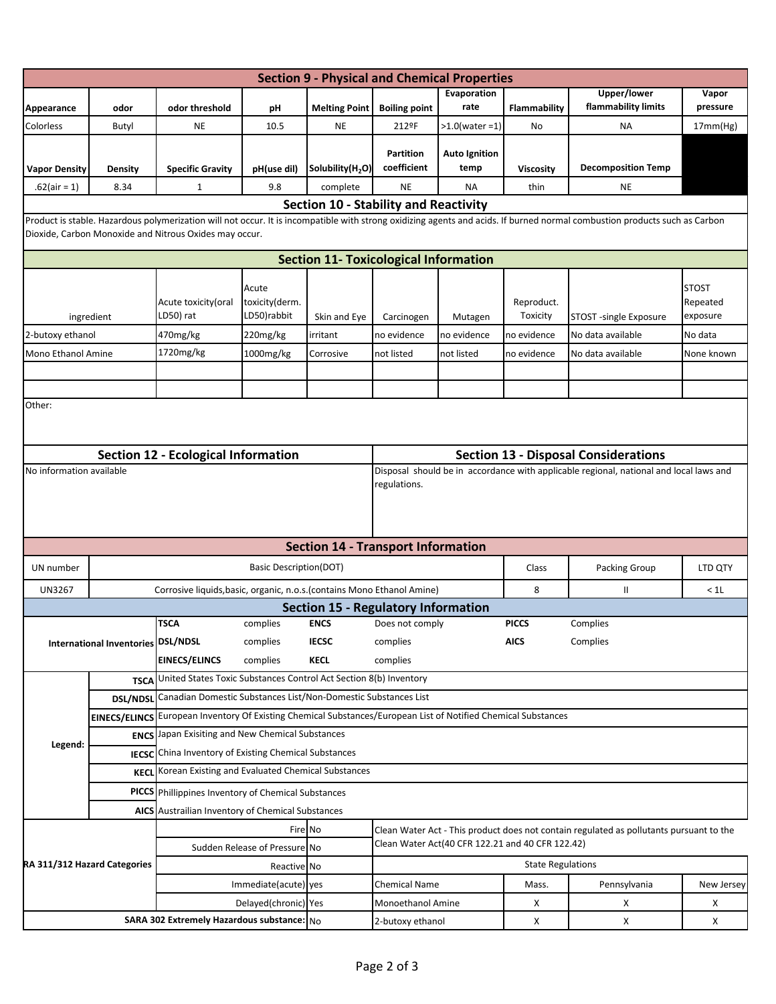|                              |                                    |                                                                                                                                                                                  |                                        | <b>Section 9 - Physical and Chemical Properties</b> |                                                                                                                                             |                              |                                                                                                                                         |                                                                                                                                                                            |                                      |  |  |
|------------------------------|------------------------------------|----------------------------------------------------------------------------------------------------------------------------------------------------------------------------------|----------------------------------------|-----------------------------------------------------|---------------------------------------------------------------------------------------------------------------------------------------------|------------------------------|-----------------------------------------------------------------------------------------------------------------------------------------|----------------------------------------------------------------------------------------------------------------------------------------------------------------------------|--------------------------------------|--|--|
|                              |                                    |                                                                                                                                                                                  |                                        |                                                     |                                                                                                                                             | Evaporation                  |                                                                                                                                         | Upper/lower                                                                                                                                                                | Vapor                                |  |  |
| Appearance                   | odor                               | odor threshold                                                                                                                                                                   | рH                                     | <b>Melting Point</b>                                | <b>Boiling point</b>                                                                                                                        | rate                         | Flammability                                                                                                                            | flammability limits                                                                                                                                                        | pressure                             |  |  |
| Colorless                    | Butyl                              | <b>NE</b>                                                                                                                                                                        | 10.5                                   | NE                                                  | 212ºF                                                                                                                                       | $>1.0$ (water =1)            | No                                                                                                                                      | ΝA                                                                                                                                                                         | 17mm(Hg)                             |  |  |
| <b>Vapor Density</b>         | <b>Density</b>                     | <b>Specific Gravity</b>                                                                                                                                                          | pH(use dil)                            | Solubility(H <sub>2</sub> O)                        | <b>Partition</b><br>coefficient                                                                                                             | <b>Auto Ignition</b><br>temp | <b>Viscosity</b>                                                                                                                        | <b>Decomposition Temp</b>                                                                                                                                                  |                                      |  |  |
| $.62 (air = 1)$              | 8.34                               | $\mathbf{1}$                                                                                                                                                                     | 9.8                                    | complete                                            | <b>NE</b>                                                                                                                                   | NA                           | thin                                                                                                                                    | <b>NE</b>                                                                                                                                                                  |                                      |  |  |
|                              |                                    |                                                                                                                                                                                  |                                        | <b>Section 10 - Stability and Reactivity</b>        |                                                                                                                                             |                              |                                                                                                                                         |                                                                                                                                                                            |                                      |  |  |
|                              |                                    | Dioxide, Carbon Monoxide and Nitrous Oxides may occur.                                                                                                                           |                                        |                                                     |                                                                                                                                             |                              |                                                                                                                                         | Product is stable. Hazardous polymerization will not occur. It is incompatible with strong oxidizing agents and acids. If burned normal combustion products such as Carbon |                                      |  |  |
|                              |                                    |                                                                                                                                                                                  |                                        | <b>Section 11- Toxicological Information</b>        |                                                                                                                                             |                              |                                                                                                                                         |                                                                                                                                                                            |                                      |  |  |
| ingredient                   |                                    | Acute toxicity (oral<br>LD50) rat                                                                                                                                                | Acute<br>toxicity(derm.<br>LD50)rabbit | Skin and Eye                                        | Carcinogen                                                                                                                                  | Mutagen                      | Reproduct.<br>Toxicity                                                                                                                  | STOST -single Exposure                                                                                                                                                     | <b>STOST</b><br>Repeated<br>exposure |  |  |
| 2-butoxy ethanol             |                                    | 470mg/kg                                                                                                                                                                         | 220mg/kg                               | irritant                                            | no evidence                                                                                                                                 | no evidence                  | no evidence                                                                                                                             | No data available                                                                                                                                                          | No data                              |  |  |
| Mono Ethanol Amine           |                                    | 1720mg/kg                                                                                                                                                                        | 1000mg/kg                              | Corrosive                                           | not listed                                                                                                                                  | not listed                   | no evidence                                                                                                                             | No data available                                                                                                                                                          | None known                           |  |  |
|                              |                                    |                                                                                                                                                                                  |                                        |                                                     |                                                                                                                                             |                              |                                                                                                                                         |                                                                                                                                                                            |                                      |  |  |
|                              |                                    |                                                                                                                                                                                  |                                        |                                                     |                                                                                                                                             |                              |                                                                                                                                         |                                                                                                                                                                            |                                      |  |  |
|                              |                                    | <b>Section 12 - Ecological Information</b>                                                                                                                                       |                                        |                                                     |                                                                                                                                             |                              |                                                                                                                                         |                                                                                                                                                                            |                                      |  |  |
| No information available     |                                    |                                                                                                                                                                                  |                                        |                                                     | Disposal should be in accordance with applicable regional, national and local laws and                                                      |                              |                                                                                                                                         |                                                                                                                                                                            |                                      |  |  |
|                              |                                    |                                                                                                                                                                                  |                                        |                                                     |                                                                                                                                             |                              |                                                                                                                                         |                                                                                                                                                                            |                                      |  |  |
|                              |                                    |                                                                                                                                                                                  |                                        | <b>Section 14 - Transport Information</b>           |                                                                                                                                             |                              |                                                                                                                                         |                                                                                                                                                                            |                                      |  |  |
| UN number                    |                                    |                                                                                                                                                                                  | <b>Basic Description(DOT)</b>          |                                                     |                                                                                                                                             |                              |                                                                                                                                         |                                                                                                                                                                            |                                      |  |  |
| <b>UN3267</b>                |                                    | Corrosive liquids, basic, organic, n.o.s. (contains Mono Ethanol Amine)                                                                                                          |                                        |                                                     |                                                                                                                                             |                              | 8                                                                                                                                       | Ш                                                                                                                                                                          | < 1L                                 |  |  |
|                              |                                    |                                                                                                                                                                                  |                                        | <b>Section 15 - Regulatory Information</b>          |                                                                                                                                             |                              |                                                                                                                                         |                                                                                                                                                                            |                                      |  |  |
|                              |                                    | <b>TSCA</b>                                                                                                                                                                      | complies                               | <b>ENCS</b>                                         | Does not comply                                                                                                                             |                              |                                                                                                                                         |                                                                                                                                                                            |                                      |  |  |
|                              | International Inventories DSL/NDSL | complies<br><b>IECSC</b><br>complies                                                                                                                                             |                                        |                                                     |                                                                                                                                             |                              |                                                                                                                                         |                                                                                                                                                                            |                                      |  |  |
|                              |                                    | <b>EINECS/ELINCS</b><br>United States Toxic Substances Control Act Section 8(b) Inventory                                                                                        | complies                               | <b>KECL</b>                                         | complies                                                                                                                                    |                              |                                                                                                                                         |                                                                                                                                                                            |                                      |  |  |
|                              | <b>TSCA</b>                        |                                                                                                                                                                                  |                                        |                                                     |                                                                                                                                             |                              | <b>Section 13 - Disposal Considerations</b><br>Class<br>Packing Group<br>LTD QTY<br><b>PICCS</b><br>Complies<br><b>AICS</b><br>Complies |                                                                                                                                                                            |                                      |  |  |
|                              | <b>DSL/NDSI</b>                    | Canadian Domestic Substances List/Non-Domestic Substances List<br>EINECS/ELINCS European Inventory Of Existing Chemical Substances/European List of Notified Chemical Substances |                                        |                                                     |                                                                                                                                             |                              |                                                                                                                                         |                                                                                                                                                                            |                                      |  |  |
|                              |                                    |                                                                                                                                                                                  |                                        |                                                     |                                                                                                                                             |                              |                                                                                                                                         |                                                                                                                                                                            |                                      |  |  |
| Legend:                      | <b>ENCS</b>                        | Japan Exisiting and New Chemical Substances<br><b>IECSC</b> China Inventory of Existing Chemical Substances                                                                      |                                        |                                                     |                                                                                                                                             |                              |                                                                                                                                         |                                                                                                                                                                            |                                      |  |  |
|                              |                                    |                                                                                                                                                                                  |                                        |                                                     |                                                                                                                                             |                              |                                                                                                                                         |                                                                                                                                                                            |                                      |  |  |
|                              | <b>KECL</b>                        | Korean Existing and Evaluated Chemical Substances                                                                                                                                |                                        |                                                     |                                                                                                                                             |                              |                                                                                                                                         |                                                                                                                                                                            |                                      |  |  |
|                              |                                    | <b>PICCS</b> Phillippines Inventory of Chemical Substances<br>AICS Austrailian Inventory of Chemical Substances                                                                  |                                        |                                                     |                                                                                                                                             |                              |                                                                                                                                         |                                                                                                                                                                            |                                      |  |  |
|                              |                                    |                                                                                                                                                                                  |                                        |                                                     |                                                                                                                                             |                              |                                                                                                                                         |                                                                                                                                                                            |                                      |  |  |
| RA 311/312 Hazard Categories |                                    | Fire No<br>Sudden Release of Pressure No                                                                                                                                         |                                        |                                                     | Clean Water Act - This product does not contain regulated as pollutants pursuant to the<br>Clean Water Act(40 CFR 122.21 and 40 CFR 122.42) |                              |                                                                                                                                         |                                                                                                                                                                            |                                      |  |  |
|                              |                                    |                                                                                                                                                                                  |                                        |                                                     | <b>State Regulations</b>                                                                                                                    |                              |                                                                                                                                         |                                                                                                                                                                            |                                      |  |  |
|                              |                                    |                                                                                                                                                                                  | Reactive No                            |                                                     |                                                                                                                                             |                              |                                                                                                                                         |                                                                                                                                                                            |                                      |  |  |
|                              |                                    |                                                                                                                                                                                  | Immediate(acute) yes                   |                                                     | <b>Chemical Name</b>                                                                                                                        |                              | Mass.                                                                                                                                   | Pennsylvania                                                                                                                                                               | New Jersey                           |  |  |
|                              |                                    | SARA 302 Extremely Hazardous substance: No                                                                                                                                       | Delayed(chronic) Yes                   |                                                     | Monoethanol Amine                                                                                                                           |                              | х                                                                                                                                       | х                                                                                                                                                                          | х                                    |  |  |
|                              |                                    |                                                                                                                                                                                  |                                        |                                                     | 2-butoxy ethanol                                                                                                                            |                              | X                                                                                                                                       | х                                                                                                                                                                          | х                                    |  |  |